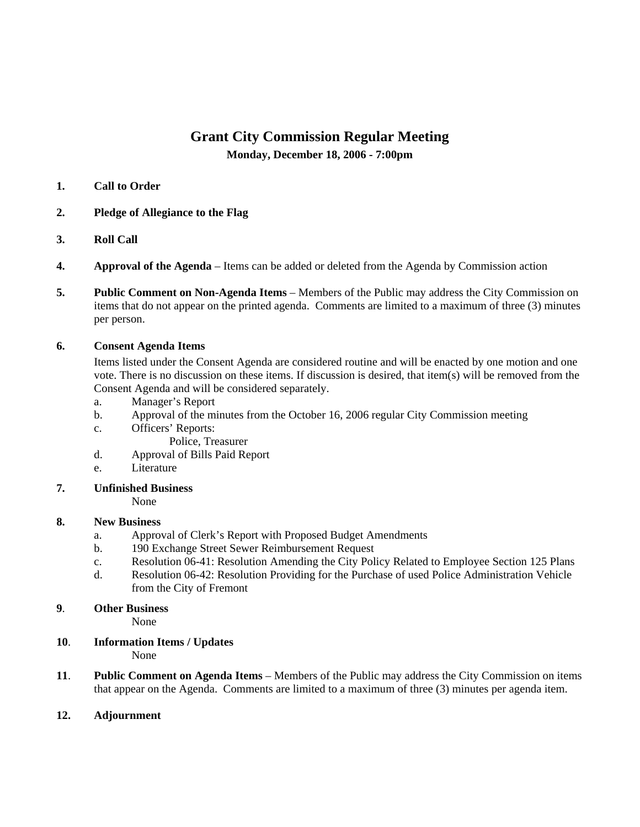# **Grant City Commission Regular Meeting Monday, December 18, 2006 - 7:00pm**

## **1. Call to Order**

- **2. Pledge of Allegiance to the Flag**
- **3. Roll Call**
- **4. Approval of the Agenda** Items can be added or deleted from the Agenda by Commission action
- **5. Public Comment on Non-Agenda Items** Members of the Public may address the City Commission on items that do not appear on the printed agenda. Comments are limited to a maximum of three (3) minutes per person.

## **6. Consent Agenda Items**

Items listed under the Consent Agenda are considered routine and will be enacted by one motion and one vote. There is no discussion on these items. If discussion is desired, that item(s) will be removed from the Consent Agenda and will be considered separately.

- a. Manager's Report
- b. Approval of the minutes from the October 16, 2006 regular City Commission meeting
- c. Officers' Reports:
	- Police, Treasurer
- d. Approval of Bills Paid Report
- e. Literature
- **7. Unfinished Business**

None

## **8. New Business**

- a. Approval of Clerk's Report with Proposed Budget Amendments
- b. 190 Exchange Street Sewer Reimbursement Request
- c. Resolution 06-41: Resolution Amending the City Policy Related to Employee Section 125 Plans
- d. Resolution 06-42: Resolution Providing for the Purchase of used Police Administration Vehicle from the City of Fremont

## **9**. **Other Business**

None

**10**. **Information Items / Updates** 

None

- **11**. **Public Comment on Agenda Items** Members of the Public may address the City Commission on items that appear on the Agenda. Comments are limited to a maximum of three (3) minutes per agenda item.
- **12. Adjournment**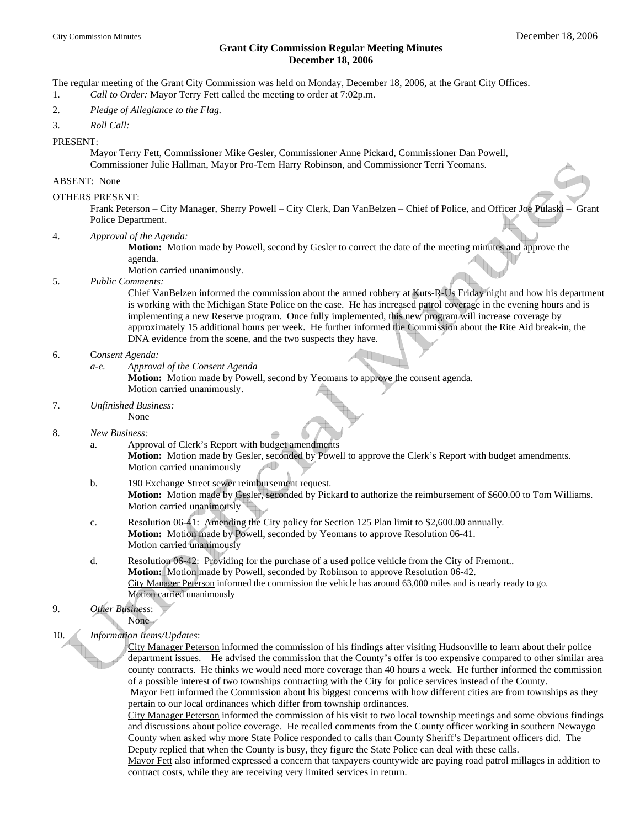## **Grant City Commission Regular Meeting Minutes December 18, 2006**

The regular meeting of the Grant City Commission was held on Monday, December 18, 2006, at the Grant City Offices.

1. *Call to Order:* Mayor Terry Fett called the meeting to order at 7:02p.m.

- 2. *Pledge of Allegiance to the Flag.*
- 3. *Roll Call:*

PRESENT:

 Mayor Terry Fett, Commissioner Mike Gesler, Commissioner Anne Pickard, Commissioner Dan Powell, Commissioner Julie Hallman, Mayor Pro-Tem Harry Robinson, and Commissioner Terri Yeomans.

#### ABSENT: None

#### OTHERS PRESENT:

 Frank Peterson – City Manager, Sherry Powell – City Clerk, Dan VanBelzen – Chief of Police, and Officer Joe Pulaski – Grant Police Department.

4. *Approval of the Agenda:*

**Motion:** Motion made by Powell, second by Gesler to correct the date of the meeting minutes and approve the agenda.

Motion carried unanimously.

### 5. *Public Comments:*

 Chief VanBelzen informed the commission about the armed robbery at Kuts-R-Us Friday night and how his department is working with the Michigan State Police on the case. He has increased patrol coverage in the evening hours and is implementing a new Reserve program. Once fully implemented, this new program will increase coverage by approximately 15 additional hours per week. He further informed the Commission about the Rite Aid break-in, the DNA evidence from the scene, and the two suspects they have.

#### 6. C*onsent Agenda:*

 *a-e. Approval of the Consent Agenda* 

**Motion:** Motion made by Powell, second by Yeomans to approve the consent agenda. Motion carried unanimously.

7. *Unfinished Business:* None

### 8. *New Business:*

- a. Approval of Clerk's Report with budget amendments **Motion:** Motion made by Gesler, seconded by Powell to approve the Clerk's Report with budget amendments. Motion carried unanimously
- b. 190 Exchange Street sewer reimbursement request. **Motion:** Motion made by Gesler, seconded by Pickard to authorize the reimbursement of \$600.00 to Tom Williams. Motion carried unanimously
- c. Resolution 06-41: Amending the City policy for Section 125 Plan limit to \$2,600.00 annually. **Motion:** Motion made by Powell, seconded by Yeomans to approve Resolution 06-41. Motion carried unanimously
- d. Resolution 06-42: Providing for the purchase of a used police vehicle from the City of Fremont.. **Motion:** Motion made by Powell, seconded by Robinson to approve Resolution 06-42. City Manager Peterson informed the commission the vehicle has around 63,000 miles and is nearly ready to go. Motion carried unanimously

### 9. *Other Business*:

None

### 10. *Information Items/Updates*:

City Manager Peterson informed the commission of his findings after visiting Hudsonville to learn about their police department issues. He advised the commission that the County's offer is too expensive compared to other similar area county contracts. He thinks we would need more coverage than 40 hours a week. He further informed the commission of a possible interest of two townships contracting with the City for police services instead of the County. Mayor Fett informed the Commission about his biggest concerns with how different cities are from townships as they

pertain to our local ordinances which differ from township ordinances.

City Manager Peterson informed the commission of his visit to two local township meetings and some obvious findings and discussions about police coverage. He recalled comments from the County officer working in southern Newaygo County when asked why more State Police responded to calls than County Sheriff's Department officers did. The Deputy replied that when the County is busy, they figure the State Police can deal with these calls.

Mayor Fett also informed expressed a concern that taxpayers countywide are paying road patrol millages in addition to contract costs, while they are receiving very limited services in return.